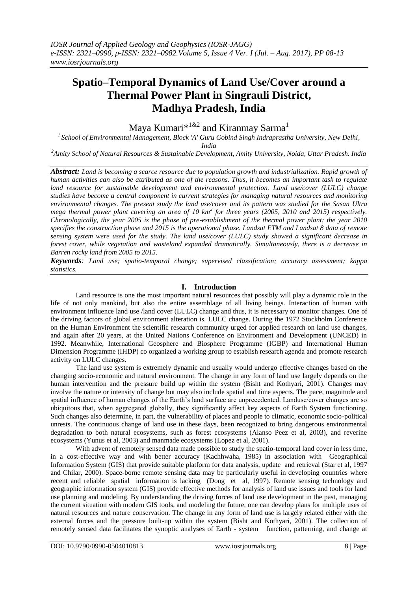# **Spatio–Temporal Dynamics of Land Use/Cover around a Thermal Power Plant in Singrauli District, Madhya Pradesh, India**

Maya Kumari $*$ <sup>1&2</sup> and Kiranmay Sarma<sup>1</sup>

*<sup>1</sup>School of Environmental Management, Block 'A' Guru Gobind Singh Indraprastha University, New Delhi,* 

*India*

*<sup>2</sup>Amity School of Natural Resources & Sustainable Development, Amity University, Noida, Uttar Pradesh. India*

*Abstract: Land is becoming a scarce resource due to population growth and industrialization. Rapid growth of human activities can also be attributed as one of the reasons. Thus, it becomes an important task to regulate land resource for sustainable development and environmental protection. Land use/cover (LULC) change studies have become a central component in current strategies for managing natural resources and monitoring environmental changes. The present study the land use/cover and its pattern was studied for the Sasan Ultra mega thermal power plant covering an area of 10 km<sup>2</sup> for three years (2005, 2010 and 2015) respectively. Chronologically, the year 2005 is the phase of pre-establishment of the thermal power plant; the year 2010 specifies the construction phase and 2015 is the operational phase. Landsat ETM and Landsat 8 data of remote sensing system were used for the study. The land use/cover (LULC) study showed a significant decrease in forest cover, while vegetation and wasteland expanded dramatically. Simultaneously, there is a decrease in Barren rocky land from 2005 to 2015.*

*Keywords: Land use; spatio-temporal change; supervised classification; accuracy assessment; kappa statistics.*

## **I. Introduction**

Land resource is one the most important natural resources that possibly will play a dynamic role in the life of not only mankind, but also the entire assemblage of all living beings. Interaction of human with environment influence land use /land cover (LULC) change and thus, it is necessary to monitor changes. One of the driving factors of global environment alteration is. LULC change. During the 1972 Stockholm Conference on the Human Environment the scientific research community urged for applied research on land use changes, and again after 20 years, at the United Nations Conference on Environment and Development (UNCED) in 1992. Meanwhile, International Geosphere and Biosphere Programme (IGBP) and International Human Dimension Programme (IHDP) co organized a working group to establish research agenda and promote research activity on LULC changes.

The land use system is extremely dynamic and usually would undergo effective changes based on the changing socio-economic and natural environment. The change in any form of land use largely depends on the human intervention and the pressure build up within the system (Bisht and Kothyari, 2001). Changes may involve the nature or intensity of change but may also include spatial and time aspects. The pace, magnitude and spatial influence of human changes of the Earth's land surface are unprecedented. Landuse/cover changes are so ubiquitous that, when aggregated globally, they significantly affect key aspects of Earth System functioning. Such changes also determine, in part, the vulnerability of places and people to climatic, economic socio-political unrests. The continuous change of land use in these days, been recognized to bring dangerous environmental degradation to both natural ecosystems, such as forest ecosystems (Alanso Peez et al, 2003), and reverine ecosystems (Yunus et al, 2003) and manmade ecosystems (Lopez et al, 2001).

With advent of remotely sensed data made possible to study the spatio-temporal land cover in less time, in a cost-effective way and with better accuracy (Kachhwaha, 1985) in association with Geographical Information System (GIS) that provide suitable platform for data analysis, update and retrieval (Star et al, 1997 and Chilar, 2000). Space-borne remote sensing data may be particularly useful in developing countries where recent and reliable spatial information is lacking (Dong et al, 1997). Remote sensing technology and geographic information system (GIS) provide effective methods for analysis of land use issues and tools for land use planning and modeling. By understanding the driving forces of land use development in the past, managing the current situation with modern GIS tools, and modeling the future, one can develop plans for multiple uses of natural resources and nature conservation. The change in any form of land use is largely related either with the external forces and the pressure built-up within the system (Bisht and Kothyari, 2001). The collection of remotely sensed data facilitates the synoptic analyses of Earth - system function, patterning, and change at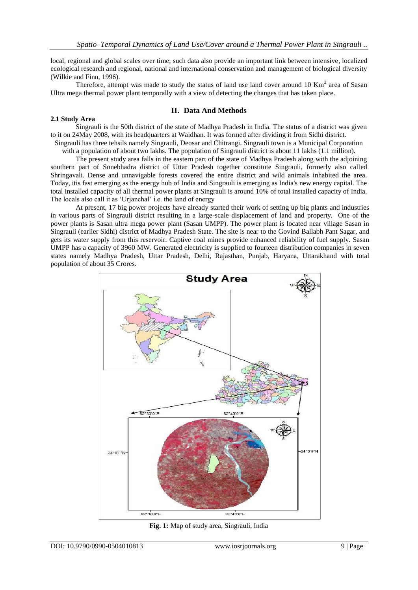local, regional and global scales over time; such data also provide an important link between intensive, localized ecological research and regional, national and international conservation and management of biological diversity (Wilkie and Finn, 1996).

Therefore, attempt was made to study the status of land use land cover around  $10 \text{ Km}^2$  area of Sasan Ultra mega thermal power plant temporally with a view of detecting the changes that has taken place.

## **II. Data And Methods**

## **2.1 Study Area**

Singrauli is the 50th district of the state of Madhya Pradesh in India. The status of a district was given to it on 24May 2008, with its headquarters at Waidhan. It was formed after dividing it from Sidhi district.

Singrauli has three tehsils namely Singrauli, Deosar and Chitrangi. Singrauli town is a Municipal Corporation with a population of about two lakhs. The population of Singrauli district is about 11 lakhs (1.1 million).

The present study area falls in the eastern part of the state of Madhya Pradesh along with the adjoining southern part of Sonebhadra district of Uttar Pradesh together constitute Singrauli, formerly also called Shringavali. Dense and unnavigable forests covered the entire district and wild animals inhabited the area. Today, itis fast emerging as the energy hub of India and Singrauli is emerging as India's new energy capital. The total installed capacity of all thermal power plants at Singrauli is around 10% of total installed capacity of India. The locals also call it as 'Urjanchal' i.e. the land of energy

At present, 17 big power projects have already started their work of setting up big plants and industries in various parts of Singrauli district resulting in a large-scale displacement of land and property. One of the power plants is Sasan ultra mega power plant (Sasan UMPP). The power plant is located near village Sasan in Singrauli (earlier Sidhi) district of Madhya Pradesh State. The site is near to the Govind Ballabh Pant Sagar, and gets its water supply from this reservoir. Captive coal mines provide enhanced reliability of fuel supply. Sasan UMPP has a capacity of 3960 MW. Generated electricity is supplied to fourteen distribution companies in seven states namely Madhya Pradesh, Uttar Pradesh, Delhi, Rajasthan, Punjab, Haryana, Uttarakhand with total population of about 35 Crores.



**Fig. 1:** Map of study area, Singrauli, India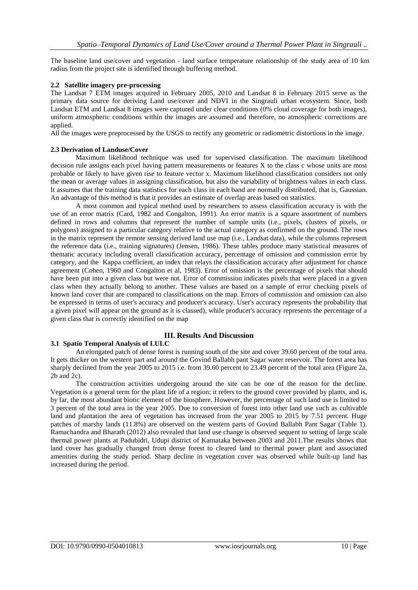The baseline land use/cover and vegetation - land surface temperature relationship of the study area of 10 km radius from the project site is identified through buffering method.

### **2.2 Satellite imagery pre-processing**

The Landsat 7 ETM images acquired in February 2005, 2010 and Landsat 8 in February 2015 serve as the primary data source for deriving Land use/cover and NDVI in the Singrauli urban ecosystem. Since, both Landsat ETM and Landsat 8 images were captured under clear conditions (0% cloud coverage for both images), uniform atmospheric conditions within the images are assumed and therefore, no atmospheric corrections are applied.

All the images were preprocessed by the USGS to rectify any geometric or radiometric distortions in the image.

### **2.3 Derivation of Landuse/Cover**

Maximum likelihood technique was used for supervised classification. The maximum likelihood decision rule assigns each pixel having pattern measurements or features X to the class c whose units are most probable or likely to have given rise to feature vector x. Maximum likelihood classification considers not only the mean or average values in assigning classification, but also the variability of brightness values in each class. It assumes that the training data statistics for each class in each band are normally distributed, that is, Gaussian. An advantage of this method is that it provides an estimate of overlap areas based on statistics.

A most common and typical method used by researchers to assess classification accuracy is with the use of an error matrix (Card, 1982 and Congalton, 1991). An error matrix is a square assortment of numbers defined in rows and columns that represent the number of sample units (i.e., pixels, clusters of pixels, or polygons) assigned to a particular category relative to the actual category as confirmed on the ground. The rows in the matrix represent the remote sensing derived land use map (i.e., Landsat data), while the columns represent the reference data (i.e., training signatures) (Jensen, 1986). These tables produce many statistical measures of thematic accuracy including overall classification accuracy, percentage of omission and commission error by category, and the Kappa coefficient, an index that relays the classification accuracy after adjustment for chance agreement (Cohen, 1960 and Congalton et al, 1983). Error of omission is the percentage of pixels that should have been put into a given class but were not. Error of commission indicates pixels that were placed in a given class when they actually belong to another. These values are based on a sample of error checking pixels of known land cover that are compared to classifications on the map. Errors of commission and omission can also be expressed in terms of user's accuracy and producer's accuracy. User's accuracy represents the probability that a given pixel will appear on the ground as it is classed), while producer's accuracy represents the percentage of a given class that is correctly identified on the map

## **3.1 Spatio Temporal Analysis of LULC**

An elongated patch of dense forest is running south of the site and cover 39.60 percent of the total area. It gets thicker on the western part and around the Govind Ballabh pant Sagar water reservoir. The forest area has sharply declined from the year 2005 to 2015 i.e. from 39.60 percent to 23.49 percent of the total area (Figure 2a, 2b and 2c).

**III. Results And Discussion**

The construction activities undergoing around the site can be one of the reason for the decline. Vegetation is a general term for the plant life of a region; it refers to the ground cover provided by plants, and is, by far, the most abundant biotic element of the biosphere. However, the percentage of such land use is limited to 3 percent of the total area in the year 2005. Due to conversion of forest into other land use such as cultivable land and plantation the area of vegetation has increased from the year 2005 to 2015 by 7.51 percent. Huge patches of marshy lands (11.8%) are observed on the western parts of Govind Ballabh Pant Sagar (Table 1). Ramachandra and Bharath (2012) also revealed that land use change is observed sequent to setting of large scale thermal power plants at Padubidri, Udupi district of Karnataka between 2003 and 2011.The results shows that land cover has gradually changed from dense forest to cleared land to thermal power plant and associated amenities during the study period. Sharp decline in vegetation cover was observed while built-up land has increased during the period.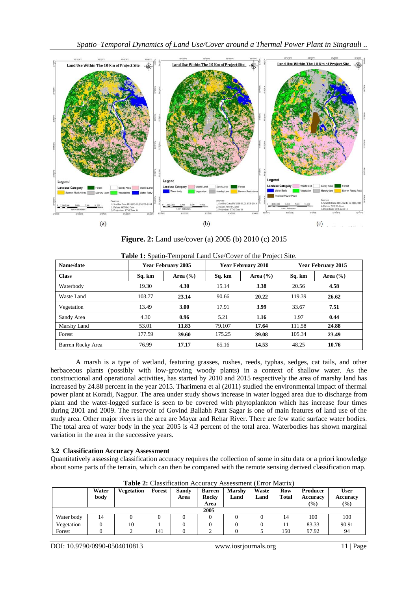

**Figure. 2:** Land use/cover (a) 2005 (b) 2010 (c) 2015

| Name/date         |        | <b>Year February 2005</b> |        | <b>Year February 2010</b> | <b>Year February 2015</b> |              |  |
|-------------------|--------|---------------------------|--------|---------------------------|---------------------------|--------------|--|
| <b>Class</b>      | Sq. km | Area $(\% )$              | Sq. km | Area $(\% )$              | Sq. km                    | Area $(\% )$ |  |
| Waterbody         | 19.30  | 4.30                      | 15.14  | 3.38                      | 20.56                     | 4.58         |  |
| Waste Land        | 103.77 | 23.14                     | 90.66  | 20.22                     | 119.39                    | 26.62        |  |
| Vegetation        | 13.49  | 3.00                      | 17.91  | 3.99                      | 33.67                     | 7.51         |  |
| Sandy Area        | 4.30   | 0.96                      | 5.21   | 1.16                      | 1.97                      | 0.44         |  |
| Marshy Land       | 53.01  | 11.83                     | 79.107 | 17.64                     | 111.58                    | 24.88        |  |
| Forest            | 177.59 | 39.60                     | 175.25 | 39.08                     | 105.34                    | 23.49        |  |
| Barren Rocky Area | 76.99  | 17.17                     | 65.16  | 14.53                     | 48.25                     | 10.76        |  |

**Table 1:** Spatio-Temporal Land Use/Cover of the Project Site.

A marsh is a type of wetland, featuring grasses, rushes, reeds, typhas, sedges, cat tails, and other herbaceous plants (possibly with low-growing woody plants) in a context of shallow water. As the constructional and operational activities, has started by 2010 and 2015 respectively the area of marshy land has increased by 24.88 percent in the year 2015. Tharimena et al (2011) studied the environmental impact of thermal power plant at Koradi, Nagpur. The area under study shows increase in water logged area due to discharge from plant and the water-logged surface is seen to be covered with phytoplankton which has increase four times during 2001 and 2009. The reservoir of Govind Ballabh Pant Sagar is one of main features of land use of the study area. Other major rivers in the area are Mayar and Rehar River. There are few static surface water bodies. The total area of water body in the year 2005 is 4.3 percent of the total area. Waterbodies has shown marginal variation in the area in the successive years.

## **3.2 Classification Accuracy Assessment**

Quantitatively assessing classification accuracy requires the collection of some in situ data or a priori knowledge about some parts of the terrain, which can then be compared with the remote sensing derived classification map.

|            | Water<br>body | Vegetation | Forest | Sandy<br>Area | <b>Barren</b><br>Rocky<br>Area | <b>Marshy</b><br>Land | Waste<br>Land | Row<br><b>Total</b> | Producer<br>Accuracy<br>$\frac{9}{6}$ | <b>User</b><br><b>Accuracy</b><br>(%) |
|------------|---------------|------------|--------|---------------|--------------------------------|-----------------------|---------------|---------------------|---------------------------------------|---------------------------------------|
|            | 2005          |            |        |               |                                |                       |               |                     |                                       |                                       |
| Water body | 14            |            |        |               |                                |                       |               | 14                  | 100                                   | 100                                   |
| Vegetation |               | 10         |        |               |                                |                       |               |                     | 83.33                                 | 90.91                                 |
| Forest     |               |            | 141    |               |                                |                       |               | 150                 | 97.92                                 | 94                                    |

**Table 2:** Classification Accuracy Assessment (Error Matrix)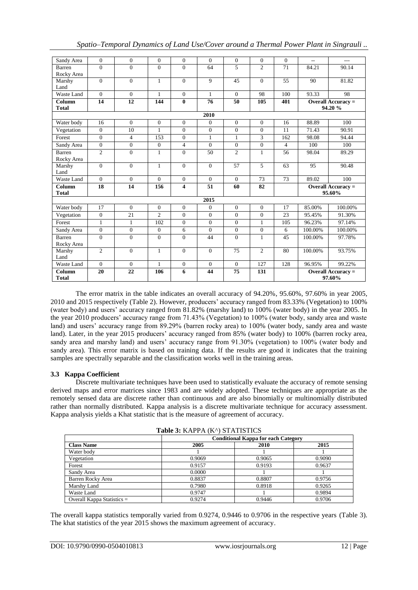| Sandy Area   | $\Omega$       | $\Omega$         | $\Omega$       | $\Omega$                | $\Omega$        | $\Omega$       | $\theta$       | $\Omega$       | $\overline{a}$            | $---$                     |  |
|--------------|----------------|------------------|----------------|-------------------------|-----------------|----------------|----------------|----------------|---------------------------|---------------------------|--|
| Barren       | $\theta$       | $\overline{0}$   | $\Omega$       | $\Omega$                | 64              | 5              | $\overline{2}$ | 71             | 84.21                     | 90.14                     |  |
| Rocky Area   |                |                  |                |                         |                 |                |                |                |                           |                           |  |
| Marshy       | $\Omega$       | $\theta$         | $\mathbf{1}$   | $\Omega$                | 9               | 45             | $\theta$       | 55             | 90                        | 81.82                     |  |
| Land         |                |                  |                |                         |                 |                |                |                |                           |                           |  |
| Waste Land   | $\Omega$       | $\Omega$         | $\mathbf{1}$   | $\Omega$                | $\mathbf{1}$    | $\Omega$       | 98             | 100            | 93.33                     | 98                        |  |
| Column       | 14             | 12               | 144            | $\bf{0}$                | 76              | 50             | 105            | 401            | Overall Accuracy $=$      |                           |  |
| <b>Total</b> |                |                  |                |                         |                 |                |                |                | 94.20 %                   |                           |  |
|              |                |                  |                |                         | 2010            |                |                |                |                           |                           |  |
| Water body   | 16             | $\mathbf{0}$     | $\mathbf{0}$   | $\mathbf{0}$            | $\mathbf{0}$    | $\mathbf{0}$   | $\mathbf{0}$   | 16             | 88.89                     | 100                       |  |
| Vegetation   | $\overline{0}$ | 10               | $\mathbf{1}$   | $\theta$                | $\Omega$        | $\mathbf{0}$   | $\mathbf{0}$   | 11             | 71.43                     | 90.91                     |  |
| Forest       | $\overline{0}$ | $\overline{4}$   | 153            | $\mathbf{0}$            | $\mathbf{1}$    | $\mathbf{1}$   | 3              | 162            | 98.08                     | 94.44                     |  |
| Sandy Area   | $\mathbf{0}$   | $\boldsymbol{0}$ | $\mathbf{0}$   | $\overline{4}$          | $\Omega$        | $\mathbf{0}$   | $\mathbf{0}$   | $\overline{4}$ | 100                       | 100                       |  |
| Barren       | $\overline{c}$ | $\overline{0}$   | $\mathbf{1}$   | $\Omega$                | 50              | $\overline{c}$ | $\mathbf{1}$   | 56             | 98.04                     | 89.29                     |  |
| Rocky Area   |                |                  |                |                         |                 |                |                |                |                           |                           |  |
| Marshy       | $\Omega$       | $\overline{0}$   | $\mathbf{1}$   | $\Omega$                | $\Omega$        | 57             | 5              | 63             | 95                        | 90.48                     |  |
| Land         |                |                  |                |                         |                 |                |                |                |                           |                           |  |
| Waste Land   | $\Omega$       | $\Omega$         | $\Omega$       | $\Omega$                | $\Omega$        | $\Omega$       | 73             | 73             | 89.02                     | 100                       |  |
| Column       | 18             | 14               | 156            | $\overline{\mathbf{4}}$ | $\overline{51}$ | 60             | 82             |                |                           | <b>Overall Accuracy =</b> |  |
| <b>Total</b> |                |                  |                |                         |                 |                |                |                |                           | 95.60%                    |  |
|              |                |                  |                |                         | 2015            |                |                |                |                           |                           |  |
| Water body   | 17             | $\overline{0}$   | $\Omega$       | $\Omega$                | $\mathbf{0}$    | $\mathbf{0}$   | $\theta$       | 17             | 85.00%                    | 100.00%                   |  |
| Vegetation   | $\mathbf{0}$   | 21               | $\overline{2}$ | $\mathbf{0}$            | $\mathbf{0}$    | $\mathbf{0}$   | $\mathbf{0}$   | 23             | 95.45%                    | 91.30%                    |  |
| Forest       | $\mathbf{1}$   | $\mathbf{1}$     | 102            | $\Omega$                | $\Omega$        | $\Omega$       | 1              | 105            | 96.23%                    | 97.14%                    |  |
| Sandy Area   | $\mathbf{0}$   | $\boldsymbol{0}$ | $\mathbf{0}$   | 6                       | $\mathbf{0}$    | $\mathbf{0}$   | $\mathbf{0}$   | 6              | 100.00%                   | 100.00%                   |  |
| Barren       | $\overline{0}$ | $\overline{0}$   | $\overline{0}$ | $\overline{0}$          | 44              | $\overline{0}$ | $\mathbf{1}$   | 45             | 100.00%                   | 97.78%                    |  |
| Rocky Area   |                |                  |                |                         |                 |                |                |                |                           |                           |  |
| Marshy       | $\overline{2}$ | $\overline{0}$   | $\mathbf{1}$   | $\Omega$                | $\Omega$        | 75             | $\overline{2}$ | 80             | 100.00%                   | 93.75%                    |  |
| Land         |                |                  |                |                         |                 |                |                |                |                           |                           |  |
| Waste Land   | $\Omega$       | $\theta$         | $\mathbf{1}$   | $\mathbf{0}$            | $\Omega$        | $\theta$       | 127            | 128            | 96.95%                    | 99.22%                    |  |
| Column       | 20             | 22               | 106            | 6                       | 44              | 75             | 131            |                | <b>Overall Accuracy =</b> |                           |  |
| <b>Total</b> |                |                  |                |                         |                 |                |                |                |                           | 97.60%                    |  |

*Spatio–Temporal Dynamics of Land Use/Cover around a Thermal Power Plant in Singrauli ..*

The error matrix in the table indicates an overall accuracy of 94.20%, 95.60%, 97.60% in year 2005, 2010 and 2015 respectively (Table 2). However, producers' accuracy ranged from 83.33% (Vegetation) to 100% (water body) and users' accuracy ranged from 81.82% (marshy land) to 100% (water body) in the year 2005. In the year 2010 producers' accuracy range from 71.43% (Vegetation) to 100% (water body, sandy area and waste land) and users' accuracy range from 89.29% (barren rocky area) to 100% (water body, sandy area and waste land). Later, in the year 2015 producers' accuracy ranged from 85% (water body) to 100% (barren rocky area, sandy area and marshy land) and users' accuracy range from 91.30% (vegetation) to 100% (water body and sandy area). This error matrix is based on training data. If the results are good it indicates that the training samples are spectrally separable and the classification works well in the training areas.

## **3.3 Kappa Coefficient**

Discrete multivariate techniques have been used to statistically evaluate the accuracy of remote sensing derived maps and error matrices since 1983 and are widely adopted. These techniques are appropriate as the remotely sensed data are discrete rather than continuous and are also binomially or multinomially distributed rather than normally distributed. Kappa analysis is a discrete multivariate technique for accuracy assessment. Kappa analysis yields a Khat statistic that is the measure of agreement of accuracy.

| <b>Table 5: NAPPA (N') STATISTICS</b> |                                            |        |        |  |  |  |  |  |
|---------------------------------------|--------------------------------------------|--------|--------|--|--|--|--|--|
|                                       | <b>Conditional Kappa for each Category</b> |        |        |  |  |  |  |  |
| <b>Class Name</b>                     | 2005                                       | 2010   | 2015   |  |  |  |  |  |
| Water body                            |                                            |        |        |  |  |  |  |  |
| Vegetation                            | 0.9069                                     | 0.9065 | 0.9090 |  |  |  |  |  |
| Forest                                | 0.9157                                     | 0.9193 | 0.9637 |  |  |  |  |  |
| Sandy Area                            | 0.0000                                     |        |        |  |  |  |  |  |
| Barren Rocky Area                     | 0.8837                                     | 0.8807 | 0.9756 |  |  |  |  |  |
| Marshy Land                           | 0.7980                                     | 0.8918 | 0.9265 |  |  |  |  |  |
| Waste Land                            | 0.9747                                     |        | 0.9894 |  |  |  |  |  |
| Overall Kappa Statistics $=$          | 0.9274                                     | 0.9446 | 0.9706 |  |  |  |  |  |

**Table 3:** *KAPPA (KA)* **STATISTICS** 

The overall kappa statistics temporally varied from 0.9274, 0.9446 to 0.9706 in the respective years (Table 3). The khat statistics of the year 2015 shows the maximum agreement of accuracy.